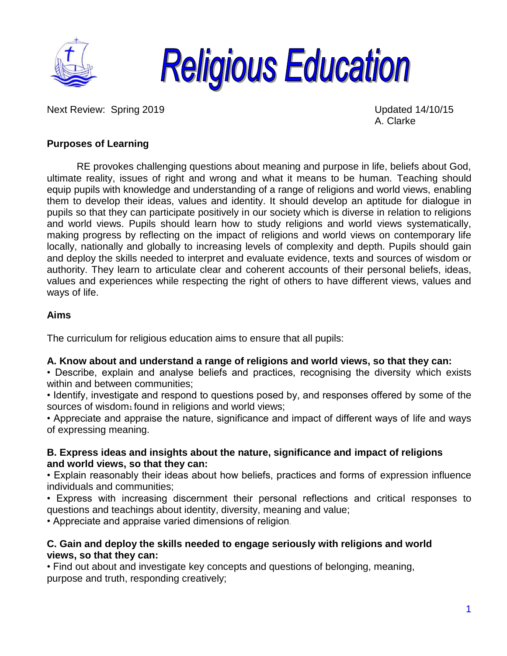



Next Review: Spring 2019 Updated 14/10/15

A. Clarke

## **Purposes of Learning**

RE provokes challenging questions about meaning and purpose in life, beliefs about God, ultimate reality, issues of right and wrong and what it means to be human. Teaching should equip pupils with knowledge and understanding of a range of religions and world views, enabling them to develop their ideas, values and identity. It should develop an aptitude for dialogue in pupils so that they can participate positively in our society which is diverse in relation to religions and world views. Pupils should learn how to study religions and world views systematically, making progress by reflecting on the impact of religions and world views on contemporary life locally, nationally and globally to increasing levels of complexity and depth. Pupils should gain and deploy the skills needed to interpret and evaluate evidence, texts and sources of wisdom or authority. They learn to articulate clear and coherent accounts of their personal beliefs, ideas, values and experiences while respecting the right of others to have different views, values and ways of life.

### **Aims**

The curriculum for religious education aims to ensure that all pupils:

### **A. Know about and understand a range of religions and world views, so that they can:**

• Describe, explain and analyse beliefs and practices, recognising the diversity which exists within and between communities:

• Identify, investigate and respond to questions posed by, and responses offered by some of the sources of wisdom<sub>1</sub> found in religions and world views;

• Appreciate and appraise the nature, significance and impact of different ways of life and ways of expressing meaning.

### **B. Express ideas and insights about the nature, significance and impact of religions and world views, so that they can:**

• Explain reasonably their ideas about how beliefs, practices and forms of expression influence individuals and communities;

• Express with increasing discernment their personal reflections and critical responses to questions and teachings about identity, diversity, meaning and value;

• Appreciate and appraise varied dimensions of religion.

### **C. Gain and deploy the skills needed to engage seriously with religions and world views, so that they can:**

• Find out about and investigate key concepts and questions of belonging, meaning, purpose and truth, responding creatively;